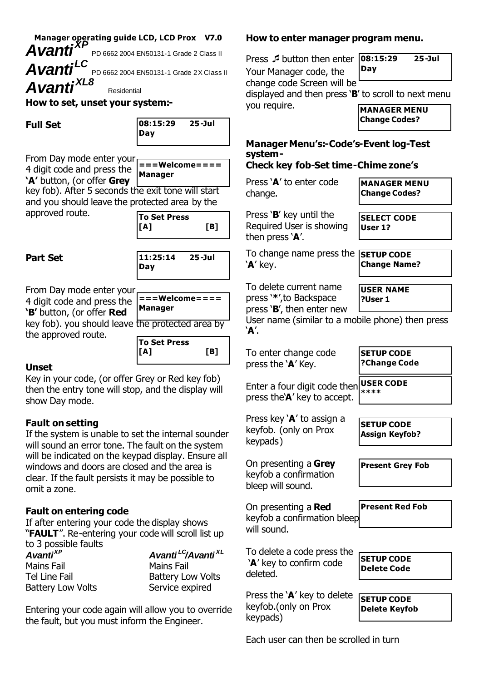**Manager operating guide LCD, LCD Prox V7.0** *AvantiXP*

PD 6662 2004 EN50131-1 Grade 2 Class II

*AvantiLC* PD 6662 2004 EN50131-1 Grade 2X Class II *AvantiXL8*

Residential

#### **How to set, unset your system:-**

| 08:15:29 | 25-Jul |
|----------|--------|
| Day      |        |

From Day mode enter your 4 digit code and press the **'A'** button, (or offer **Grey**

**===Welcome==== Manager**

key fob). After 5 seconds the exit tone will start and you should leave the protected area by the

approved route.

| To Set Press<br>[A] | TB1 |
|---------------------|-----|
|                     |     |

### **Part Set**



From Day mode enter your 4 digit code and press the  $\vert \frac{1}{n} = \vert \frac{1}{n} \vert$  **Welcome==== 'B'** button, (or offer **Red** key fob). you should leave

| Manager               |  |
|-----------------------|--|
| the protected area by |  |

**To Set Press [A] [B]**

### **Unset**

Key in your code, (or offer Grey or Red key fob) then the entry tone will stop, and the display will show Day mode.

### **Fault on setting**

the approved route.

If the system is unable to set the internal sounder will sound an error tone. The fault on the system will be indicated on the keypad display. Ensure all windows and doors are closed and the area is clear. If the fault persists it may be possible to omit a zone.

### **Fault on entering code**

If after entering your code the display shows "**FAULT**". Re-entering your code will scroll list up to 3 possible faults

| Avanti <sup>XP</sup>     | Avanti <sup>LC</sup> /Avanti <sup>XL</sup> |
|--------------------------|--------------------------------------------|
| Mains Fail               | Mains Fail                                 |
| Tel Line Fail            | <b>Battery Low Volts</b>                   |
| <b>Battery Low Volts</b> | Service expired                            |

Entering your code again will allow you to override the fault, but you must inform the Engineer.

#### **How to enter manager program menu.**

Press Øbutton then enter **08:15:29 25-Jul** Your Manager code, the **Day**

change code Screen will be

displayed and then press '**B**' to scroll to next menu

you require.

**MANAGER MENU Change Codes?**

# **Manager Menu's:-Code's-Event log-Test system-**

# **Check key fob-Set time-Chime zone's**

Press '**A**' to enter code change.

**MANAGER MENU Change Codes?**

**SELECT CODE User 1?**

Press '**B**' key until the Required User is showing then press '**A**'.

To change name press the **SETUP CODE** '**A**' key. **Change Name?**

**USER NAME**

**SETUP CODE ?Change Code**

**?User 1**

To delete current name press '**\***',to Backspace press '**B**', then enter new

User name (similar to a mobile phone) then press '**A**'.

To enter change code press the '**A**' Key.

Press key '**A**' to assign a keyfob. (only on Prox

On presenting a **Grey** keyfob a confirmation bleep will sound.

keypads)

deleted.

keypads)

Enter a four digit code then **USER CODE** press the'**A**' key to accept. **\*\*\*\***

**SETUP CODE Assign Keyfob?**

**Present Grey Fob**

On presenting a **Red** keyfob a confirmation bleep will sound. **Present Red Fob**

To delete a code press the '**A**' key to confirm code

Press the '**A**' key to delete keyfob.(only on Prox

**SETUP CODE**

**Delete Code**

**SETUP CODE Delete Keyfob**

Each user can then be scrolled in turn